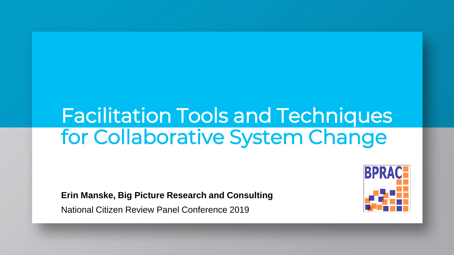# Facilitation Tools and Techniques for Collaborative System Change

**Erin Manske, Big Picture Research and Consulting**

National Citizen Review Panel Conference 2019

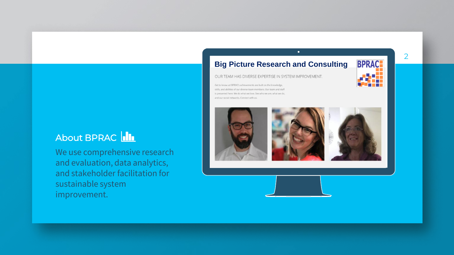## About BPRAC **III**

We use comprehensive research and evaluation, data analytics, and stakeholder facilitation for sustainable system improvement.

#### **Big Picture Research and ConsultingBPRAC**

 $\bullet$ 

OUR TEAM HAS DIVERSE EXPERTISE IN SYSTEM IMPROVEMENT.

Get to know us! BPRAC's achievements are built on the knowledge, skills, and abilities of our diverse team members. Our team and staff is presented here. We do what we love. See who we are, what we do, and our social networks. Connect with us.









2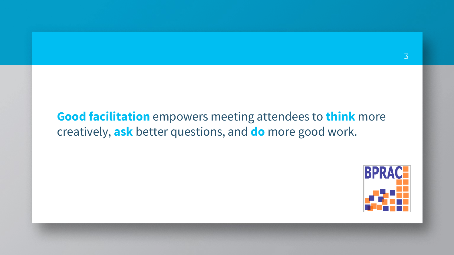# **Good facilitation** empowers meeting attendees to **think** more creatively, **ask** better questions, and **do** more good work.

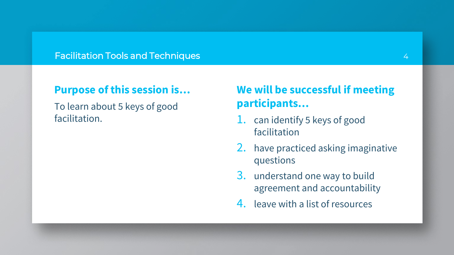#### Facilitation Tools and Techniques

## **Purpose of this session is…**

To learn about 5 keys of good facilitation.

# **We will be successful if meeting participants…**

- 1. can identify 5 keys of good facilitation
- 2. have practiced asking imaginative questions
- 3. understand one way to build agreement and accountability
- 4. leave with a list of resources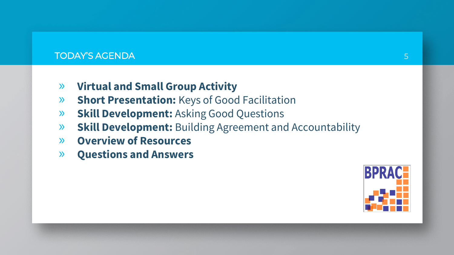#### TODAY'S AGENDA

- » **Virtual and Small Group Activity**
- » **Short Presentation:** Keys of Good Facilitation
- » **Skill Development:** Asking Good Questions
- » **Skill Development:** Building Agreement and Accountability
- » **Overview of Resources**
- » **Questions and Answers**

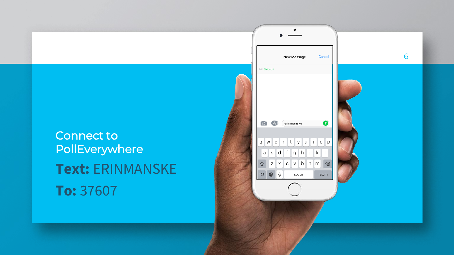# Connect to **PollEverywhere Text:** ERINMANSKE **To:** 37607

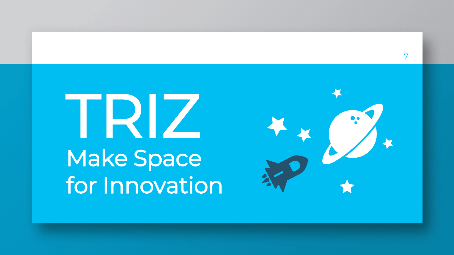

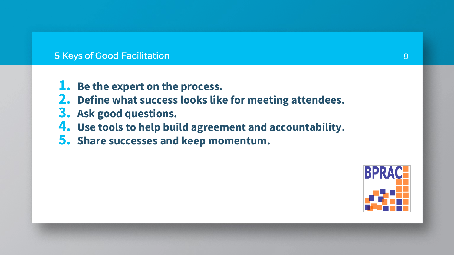#### 5 Keys of Good Facilitation

- **1. Be the expert on the process.**
- **2. Define what success looks like for meeting attendees.**
- **3. Ask good questions.**
- **4. Use tools to help build agreement and accountability.**
- **5. Share successes and keep momentum.**

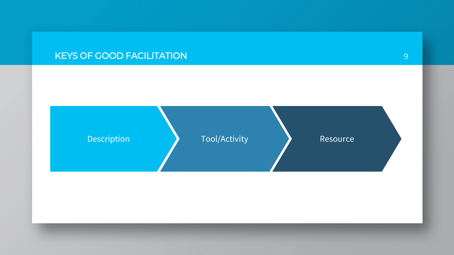## KEYS OF GOOD FACILITATION

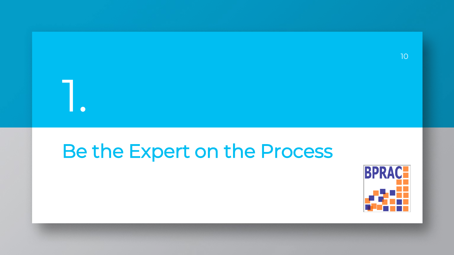

# Be the Expert on the Process

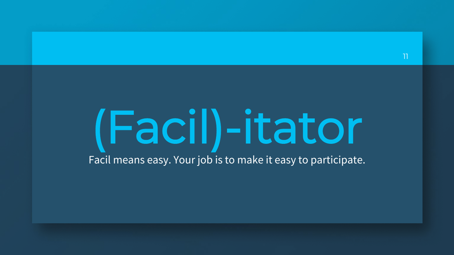# (Facil)-itator Facil means easy. Your job is to make it easy to participate.

11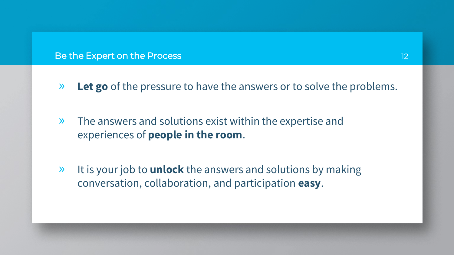Be the Expert on the Process

- » **Let go** of the pressure to have the answers or to solve the problems.
- » The answers and solutions exist within the expertise and experiences of **people in the room**.
- » It is your job to **unlock** the answers and solutions by making conversation, collaboration, and participation **easy**.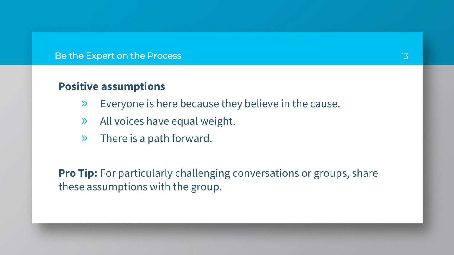#### Be the Expert on the Process

## **Positive assumptions**

- » Everyone is here because they believe in the cause.
- » All voices have equal weight.
- » There is a path forward.

**Pro Tip:** For particularly challenging conversations or groups, share these assumptions with the group.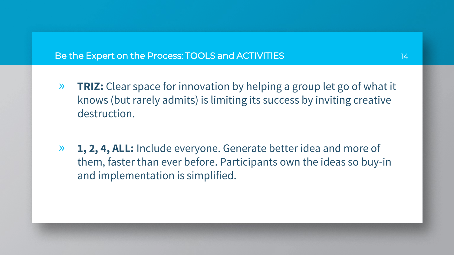#### Be the Expert on the Process: TOOLS and ACTIVITIES

- » **TRIZ:** Clear space for innovation by helping a group let go of what it knows (but rarely admits) is limiting its success by inviting creative destruction.
- » **1, 2, 4, ALL:** Include everyone. Generate better idea and more of them, faster than ever before. Participants own the ideas so buy-in and implementation is simplified.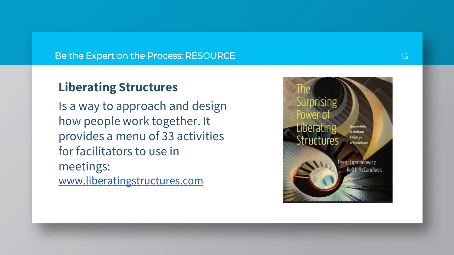#### Be the Expert on the Process: RESOURCE

## **Liberating Structures**

Is a way to approach and design how people work together. It provides a menu of 33 activities for facilitators to use in meetings: [www.liberatingstructures.com](http://www.liberatingstructures.com/)

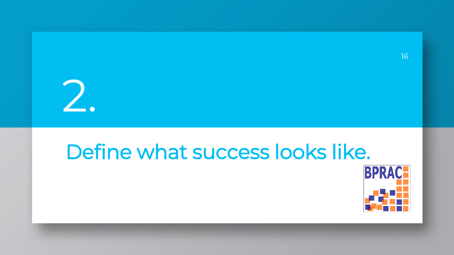

# Define what success looks like.



16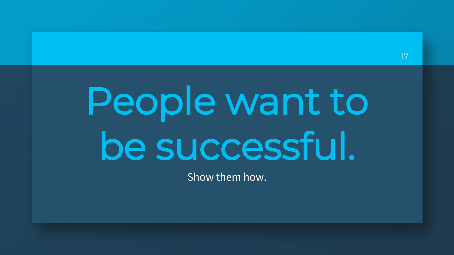# People want to be successful.

Show them how.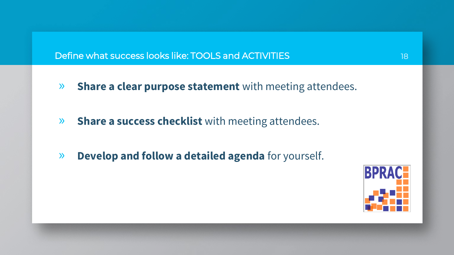Define what success looks like: TOOLS and ACTIVITIES

- » **Share a clear purpose statement** with meeting attendees.
- » **Share a success checklist** with meeting attendees.
- » **Develop and follow a detailed agenda** for yourself.

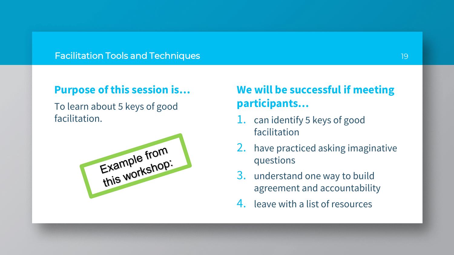#### Facilitation Tools and Techniques

## **Purpose of this session is…**

To learn about 5 keys of good facilitation.



# **We will be successful if meeting participants…**

- 1. can identify 5 keys of good facilitation
- 2. have practiced asking imaginative questions
- 3. understand one way to build agreement and accountability
- 4. leave with a list of resources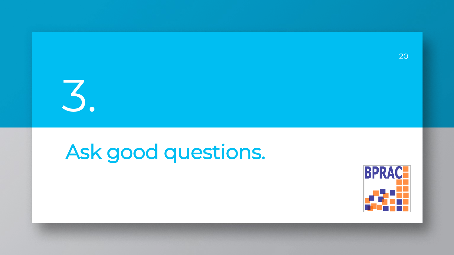

# Ask good questions.

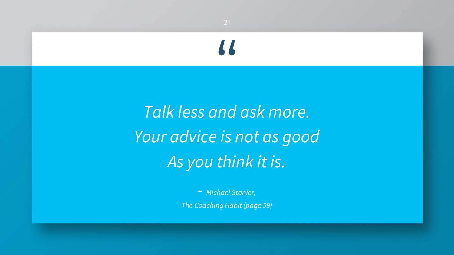*Talk less and ask more. Your advice is not as good As you think it is.* 

"

- *Michael Stanier, The Coaching Habit (page 59)*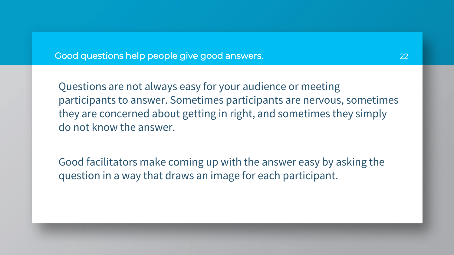Good questions help people give good answers.

Questions are not always easy for your audience or meeting participants to answer. Sometimes participants are nervous, sometimes they are concerned about getting in right, and sometimes they simply do not know the answer.

Good facilitators make coming up with the answer easy by asking the question in a way that draws an image for each participant.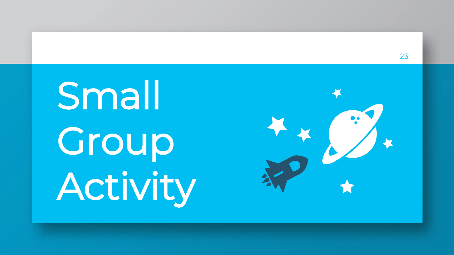Small Group Activity

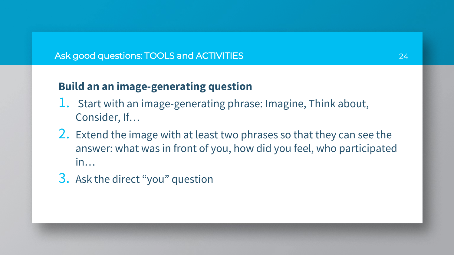#### Ask good questions: TOOLS and ACTIVITIES

# **Build an an image-generating question**

- 1. Start with an image-generating phrase: Imagine, Think about, Consider, If…
- 2. Extend the image with at least two phrases so that they can see the answer: what was in front of you, how did you feel, who participated in…
- 3. Ask the direct "you" question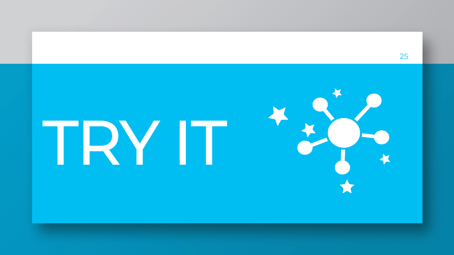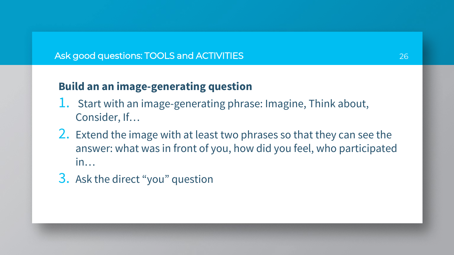#### Ask good questions: TOOLS and ACTIVITIES

# **Build an an image-generating question**

- 1. Start with an image-generating phrase: Imagine, Think about, Consider, If…
- 2. Extend the image with at least two phrases so that they can see the answer: what was in front of you, how did you feel, who participated in…
- 3. Ask the direct "you" question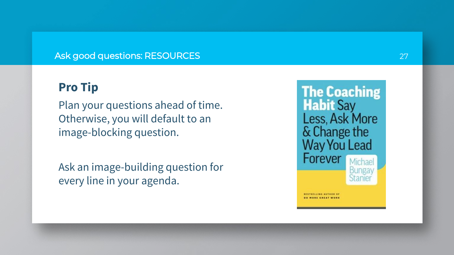#### Ask good questions: RESOURCES

## **Pro Tip**

Plan your questions ahead of time. Otherwise, you will default to an image -blocking question.

Ask an image -building question for every line in your agenda.

**The Coaching<br>Habit Say** Less, Ask More & Change the **Way You Lead** Forever **BESTBELLING AUTHOR OF DO HORE CREAT WOR**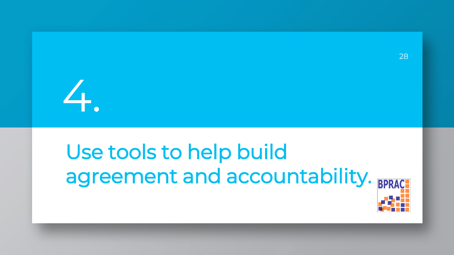

# Use tools to help build agreement and accountability. BPRAC



28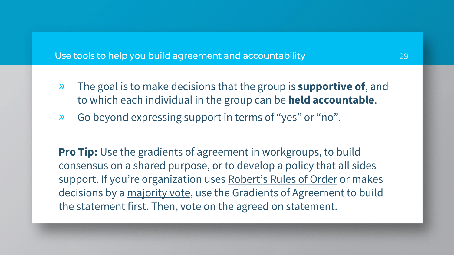#### Use tools to help you build agreement and accountability

- » The goal is to make decisions that the group is **supportive of**, and to which each individual in the group can be **held accountable**.
- » Go beyond expressing support in terms of "yes" or "no".

**Pro Tip:** Use the gradients of agreement in workgroups, to build consensus on a shared purpose, or to develop a policy that all sides support. If you're organization uses Robert's Rules of Order or makes decisions by a majority vote, use the Gradients of Agreement to build the statement first. Then, vote on the agreed on statement.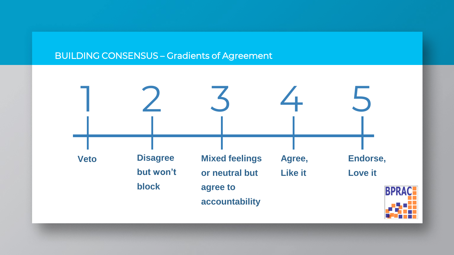### BUILDING CONSENSUS – Gradients of Agreement

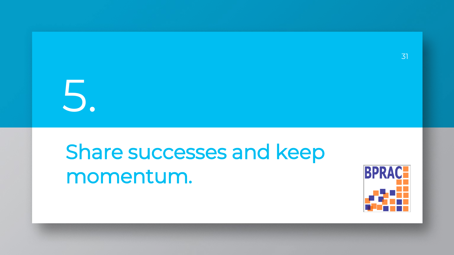# 5.

# Share successes and keep momentum.

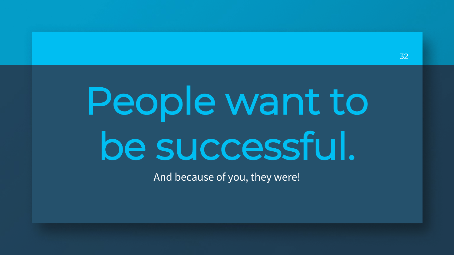# People want to be successful.

And because of you, they were!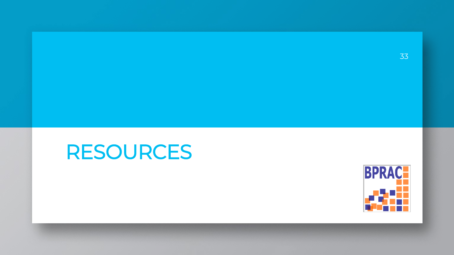

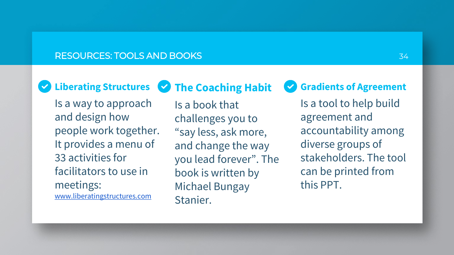#### RESOURCES: TOOLS AND BOOKS

 $(\blacktriangledown)$ 

**Liberating Structures The Coaching Habit**

Is a way to approach and design how people work together. It provides a menu of 33 activities for facilitators to use in meetings: [www.liberatingstructures.com](http://www.liberatingstructures.com/)

Is a book that challenges you to "say less, ask more, and change the way you lead forever". The book is written by Michael Bungay Stanier.

**Gradients of Agreement**  $\blacktriangledown$ 

> Is a tool to help build agreement and accountability among diverse groups of stakeholders. The tool can be printed from this PPT.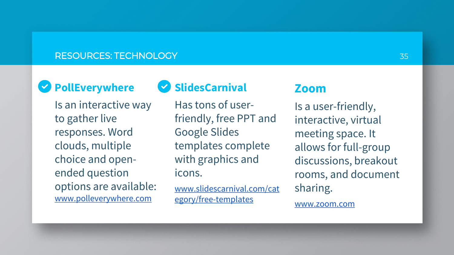#### RESOURCES: TECHNOLOGY

# **PollEverywhere**

Is an interactive way to gather live responses. Word clouds, multiple choice and openended question options are available: [www.polleverywhere.com](http://www.polleverywhere.com/)

# **SlidesCarnival**

Has tons of userfriendly, free PPT and Google Slides templates complete with graphics and icons.

[www.slidescarnival.com/cat](http://www.slidescarnival.com/category/free-templates) egory/free-templates

### **Zoom**

Is a user-friendly, interactive, virtual meeting space. It allows for full-group discussions, breakout rooms, and document sharing.

[www.zoom.com](http://www.zoom.com/)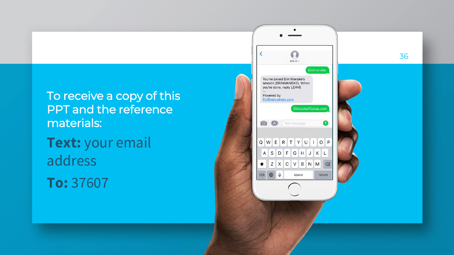To receive a copy of this PPT and the reference materials: **Text:** your email address

**To:** 37607

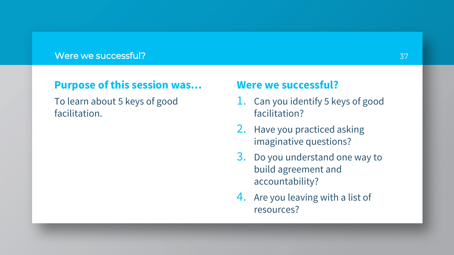#### Were we successful?

## **Purpose of this session was…**

To learn about 5 keys of good facilitation.

### **Were we successful?**

- 1. Can you identify 5 keys of good facilitation?
- 2. Have you practiced asking imaginative questions?
- 3. Do you understand one way to build agreement and accountability?
- 4. Are you leaving with a list of resources?